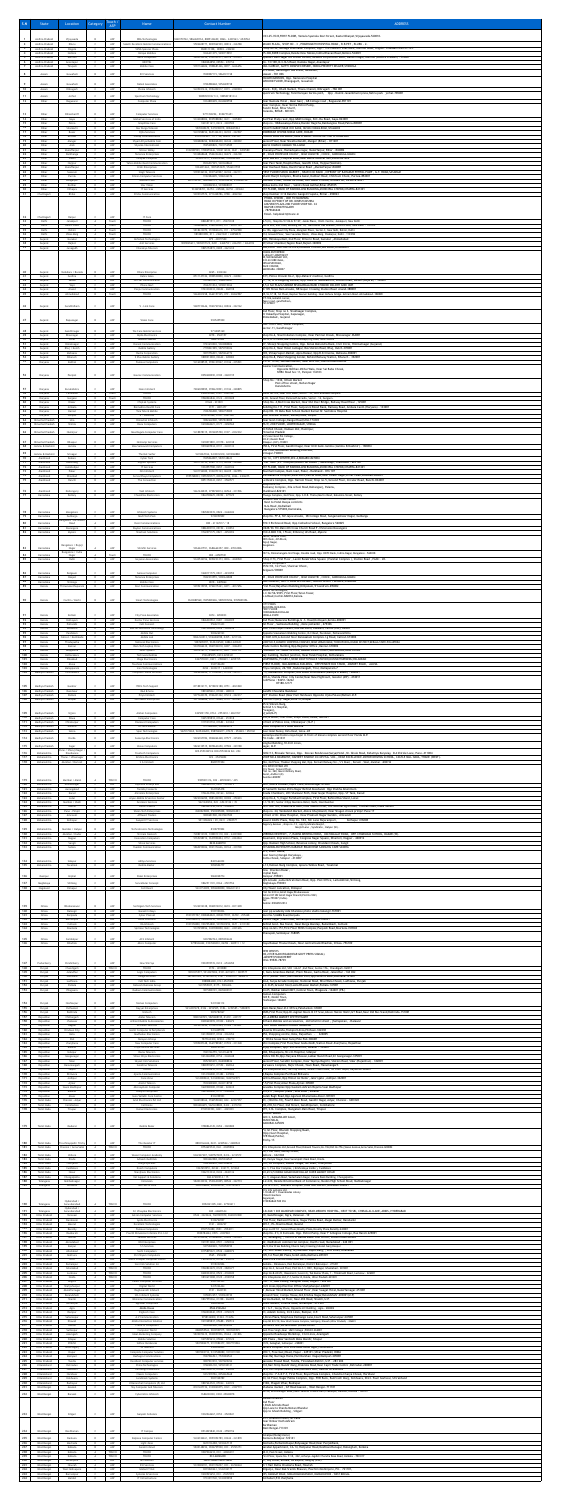|                          |                                                                                              |                                                          |                                              |                                                                                                         |                                                                                                                                                                    | <b>ADDRESS</b>                                                                                                                                                                                                                                                                                                                      |
|--------------------------|----------------------------------------------------------------------------------------------|----------------------------------------------------------|----------------------------------------------|---------------------------------------------------------------------------------------------------------|--------------------------------------------------------------------------------------------------------------------------------------------------------------------|-------------------------------------------------------------------------------------------------------------------------------------------------------------------------------------------------------------------------------------------------------------------------------------------------------------------------------------|
|                          | Andhra Pradesh<br>Andhra Pradesh                                                             | Vijaywada<br>Elluru                                      | ASP<br>ASP                                   | <b>DBA Technologies</b><br>Saketh Excellent Mobile Communications                                       | 9440159763, 9866220763, 8885146699, 0866 - 2433563 / 6545563<br>9502608777, 8897862999, 08812 - 246788                                                             | #33-25-35/B,FIRST FLOOR, Vemula Syamala Devi Street, Kasturibhaipet, Vijayawada-520010.<br>VASAVI PLAZA, SHOP NO - 3, PRABHAVATHI HOSPITAL ROAD, R.R.PET, ELURU - 2.                                                                                                                                                                |
|                          | Andhra Pradesh<br>Andhra Pradesh<br>Andhra Pradesh                                           | Ongole<br>Nellore<br>Kurnool                             | ASP<br>ASP<br>ASP                            | SVSM Spencer Plaza<br><b>Unique Mobiles</b><br><b>Akhil Computers</b>                                   | 9848113108, 08592 - 230230<br>9246431375, 9290715851<br>9849333932, 9533333311, 08518 - 276333                                                                     | Shop No 22, Munaga Chennaiah Complex, Opp:- The Lakshmi Vilas Bank, Kurnool Road, Ongole. Prakasam district. A.P<br>15-306, BSRR Complex, Beside New Talkies, Indira Bhavan Road, Nellore-524001<br>Upstairs Sukh Sagar Ice Cream Parlour, Besides Corporation Bank, Gandhi Nagar, Kurnool (Andhra Pradesh) - 518001                |
|                          | Andhra Pradesh<br>Andhra Pradesh<br>Assam                                                    | Anantapur<br>Tirupati<br>Guwahati                        | ASP<br>ASP<br>ASP                            | <b>NEOTEL</b><br>Mobile Care<br><b>ECI Services</b>                                                     | 9848284858, 08554 - 235154<br>9701166606, 9908681446, 0877 - 6646656<br>9508987115, 9864721198                                                                     | No. 13/100, D.C.M.S Road, Kamala Nagar, Anantapur<br>JAIL CAIRCLE, GUTTI COMPLEX BESIDE, NOKIA PRIORITY DEALER, SHIMOGA<br>G.S.Road, Ganeshguri bus stand, Guwahati,<br>Assam - 781 006                                                                                                                                             |
|                          | Assam                                                                                        | Guwahati                                                 | ASP<br>ASP                                   | <b>Netsol Associates</b><br>Pixma Infotech                                                              | 9706588468, 9954405158<br>9435031614, 9954496517, 0373 - 2328994                                                                                                   | NILGIRI MANSION, Opp. Namecare Hospital<br>GROUND FLOOR, Bhangagarh, Guwahati<br>Block - B(3), Khalil Market, Thana Charali, Dibrugarh - 786 001                                                                                                                                                                                    |
| 12 <sub>2</sub>          | Assam<br>Assam<br>Bihar                                                                      | Dibrugarh<br>Jorhat<br>Begusarai                         | ASP<br>ASP                                   | Spectrum Technology<br><b>Computer Plaza</b>                                                            | 9085091810/1/2, 9085091813/4<br>9334890409, 8434689558                                                                                                             | Spectrum Technology, Tulsi Narayan Sarma path, Opp - Dainik Janambhumi press, Nehru park jorhat-785001<br>Near Mamata Hotel, Mear Ganj, GB Collage road, Begusarai-851101                                                                                                                                                           |
|                          | Bihar                                                                                        | Biharshariff                                             | ASP                                          | <b>Computer Services</b>                                                                                | 9771399292, 8102771651                                                                                                                                             | Neer Complex, Near Verma Petrol Pump,<br>Ranchi Road, Bihar Sharif,<br>Nalanda, BIHAR - 803101.                                                                                                                                                                                                                                     |
| 14                       | <b>Bihar</b><br>Bihar<br>Bihar                                                               | Gaya<br>Patna<br>Sitamarhi                               | ASP<br>ASP<br><b>ASP</b>                     | Global Services of India<br><b>Graphline Care</b><br>Nav Durga Telecom                                  | 9334028004, 8935988082, 0631 - 3205892<br>9431011611, 0612 - 2203500<br>9835040670, 9473090018, 8084665924                                                         | Rai Pital Pratp raod , Opp GBM College, B.N.Jha Road, Gaya-823001<br>Shop no .106Kausalaya Estate, Bander Bagicha, Dakbanglow Road, Patna-800001<br>SHANTI MARKET, NEAR ICICI BANK, NUTAN CINEMA ROAD, SITAMARHI                                                                                                                    |
| 18<br>19<br>20           | Bihar<br>Bihar<br>Bihar<br><b>Bihar</b>                                                      | Buxar<br>Bettiah<br>Munger<br>Arah                       | ΔSP<br>ASP<br>ASP<br><b>ASP</b>              | Ojha Services<br><b>Pratap Communication</b><br>Shyam Priya Mobile Com<br>Shyama International          | 9431098294, 8651446333, 06183 - 222507<br>9931073290 / 91 / 96, 06254 - 241555<br>9304808494, 8084068430, 06344 - 228392<br>9525498849, 7301152585                 | AMBEDKAR CHOWK NOKIA CARE, BUXAR<br>CHURCH ROAD LAL BAZAR, NEAR St MARRY SCHOOL BETTIAH W.CHAMPRAN<br>Second Floor, Near Sheetla Mandir, Munger (Bihar) - 811201<br>VALIYA COMPLEX KARMAN TOLA ARAH                                                                                                                                 |
| 21<br>22<br>23           | Bihar<br>Bihar<br>Bihar                                                                      | Muzaffarpur<br>Darbhanga<br>Siwan                        | ASP<br><b>ASP</b><br><b>ASP</b>              | Silicon Valley<br>Tamanna Enterprises<br>Vinayak Computer                                               | 9334999599, 9708255446, 9304116322, 0621 - 3202580<br>9334868668, 9546334444, 06272 - 246100<br>9934727411, 9308476988, 9304362388                                 | Chanakya Place, Ramadayalu nagar, Muzaffarpur, Bihar - 842002<br>45, DIGHI PROFESSOR COLONY, NEAR SHASHTRI, CHOCK, DARBHANGA-846004<br>Zafar Market, Hospital Road, Near sadhu medical hall, Siwan-841226                                                                                                                           |
| 24<br>25<br>26           | Bihar<br>Bihar<br>Bihar                                                                      | Hajipur<br>Muzaffarpur<br>Sasaram                        | ASP<br>ASP<br><b>ASP</b>                     | Yahoo Mobile Masti Communication<br>Krish Enterprises<br>Singh Telecom                                  | 8936037325, 9693448663<br>9334491444, 9835253270, 9546331555<br>9709746742, 9031567807, 06184 - 222111                                                             | Near Pani Tanki, Hospital Raos, Gandhi Chok, Hajipur (Vaishali)-<br>Near Kanhauli Naka, Kacchi Sarai Road ,,Muzzaffarpur-842001<br>FIRST FLOOR HASNU MARKET,NEAR ICICI BANK,INFRONT OF BAHADUR PETROL PUMP,G.T. ROAD,SASARAM                                                                                                        |
| 27<br>28<br>29           | Bihar<br>Bihar<br>Bihar                                                                      | Purnia<br>Bhagalpur<br>Katihar                           | ASP<br>ASP<br><b>ASP</b>                     | <b>Silicon Computer Services</b><br><b>Solution Care</b><br>Star Vision                                 | 9122484405, 9386346376<br>8677999991, 8863080133, 9334165290, 9334820136<br>9430002234, 9939888307                                                                 | Shanti Ranjit Complex, Bhatta bazar, Kalibari Road, Chitrbani Chock, Purnea-854301<br>KAJWALI CHAK, TATARPUR ROAD, KOTWARLI CHOWK, BHAGLPUR, BIHAR-812001<br>Abbas katra 2nd floor, Sahid chowk katihar, Bihar-854105                                                                                                               |
| 30                       | Bihar<br>Chattisgarh                                                                         | Chhapra<br>Bhilai                                        | ASP<br>ASP                                   | <b>IT Services</b><br>Prisha Communication                                                              | 9334258701, 06152 - 245048, 06152 - 239663<br>9039767572, 9713428786, 0788 - 4060160                                                                               | 1ST FLOOR, BANK OF BARODA ATM BUILDING, MUNICIPAL CHOWK, CHAPRA-841301<br>Shop Number 3/16 Dakshin Gangotri Supela, Bhilai - 490023<br>PHOOL CHOWK, WAY TO NAYAPARA<br>ROAD IN FRONT OF DR. DINESH MISHRA                                                                                                                           |
|                          |                                                                                              |                                                          |                                              |                                                                                                         |                                                                                                                                                                    | ANUVRAT PLAZA 2ND FLOOR SHOP NO. C2<br>RAIPUR CHHATTISGARH<br>7879666644<br>Email-helpdesk1@itcare.in                                                                                                                                                                                                                               |
| 32<br>33                 | Chattisgarh<br>Delhi<br>Delhi                                                                | Raipur<br>Janakpuri<br>Nehru Place                       | <b>ASP</b><br>Touch<br>Touch                 | <b>IT Care</b><br><b>TOUCH</b><br><b>TOUCH</b>                                                          | 8826891511, 011 - 25615338<br>7042288200, 9560330426, 011 - 40577729                                                                                               | G-5 (II), Shop No.5/126 & 5/127, Janak Place, Distt. Centre, Janakpuri, New Delhi<br>202 & 203, 2nd Floor, Building No. 78, Guru Amar Das Bhawan, Nehru Place, New Delhi - 110 019                                                                                                                                                  |
| 35<br>37<br>38           | Delhi<br>Delhi<br>Gujarat<br>Gujarat                                                         | Rohini<br>Vikas Marg<br>Gurukul<br>Rajkot                | Touch<br>Touch<br>ASP<br>ASP                 | <b>TOUCH</b><br><b>TOUCH</b><br>Abhishek Technologies<br>Anil Services                                  | 9818613079, 9910043616, 011 - 27942988<br>9818881989, 011 - 22421041 / 42058035<br>079 - 40371500<br>9099065631, 9909997129, 0281 - 2460759 / 2464701 / 2464702    | No.156, Aggarwal City Plaza, Manglam Place, Sector-3, Near M2K, Rohini, Delhi<br>114, Ground Floor, Veer Savarkar Block, Vikas Marg, Shakarpur, Delhi - 110 092<br>306, Himalaya Mall, 2nd Floor, Drive In Road, Gurukul, Ahmedabad<br>29, Silver Chamber, Tagore Road, Rajkot-360002                                               |
| 39                       | Gujarat                                                                                      | Junagadh                                                 | ASP                                          | Chanakya Telecom                                                                                        | 9825152815, 0285 - 2621410                                                                                                                                         | 308, PUNIT SOPPING CENTER, RANAVAV CHOWK, MG ROAD, JUNAGADH<br><b>DHARA ENTERPRISE</b><br>2, LEGACY APARTMENT<br>20, SUDHANAGAR SOC,                                                                                                                                                                                                |
| 40                       | Gujarat                                                                                      | Vadodara / Baroda                                        | ASP                                          | <b>Dhara Enterprise</b>                                                                                 | 0265 - 2322344                                                                                                                                                     | <b>B/H M-CUBE MALL</b><br>JETALPUR ROAD,<br>RACE COURSE,<br>VADODARA - 390007                                                                                                                                                                                                                                                       |
| 41<br>42<br>43           | Gujarat<br>Gujarat<br>Gujarat                                                                | Godhra<br>Valsad<br>Vapi                                 | ASP<br><b>ASP</b><br>ASP                     | Kabra Sales<br>Om Sai Communicaton<br>Phone Mart                                                        | 8511147742, 9898530800, 02672 - 240061<br>9374653787, 9586955981<br>7046731034, 9998019964                                                                         | B/H, Police Chowki No.2, Opp.Mahavir medical, Godhra<br>71, 72, D N Shopping Centre, Opp. Bank Of Maharashtra, Station Road, Valsad (Gujarat) - 396001<br>4,5,6 SAI PLAZA SARDAR BHAILAWALA BANK CHANOD COLONY GIDC VAPI                                                                                                            |
| -44<br>45                | Gujarat<br>Gujarat                                                                           | Anand<br>Ahmedabad                                       | ASP<br>Touch                                 | Pooja Communication<br><b>TOUCH</b>                                                                     | 9723338333, 02692 - 268198<br>9662021298, 9662151525, 079 - 30442587                                                                                               | B/105 Shree Ram Arcade, NR Gopal Crossing Station Road Anand-388001<br>15,16,17,18, 1st Floor, Neptun Towner building. Near Neharu bridge. Ashram Road. Ahmadabad. 380009<br>FF-106, reshabh corner,<br>Tagor road, gandhidham,                                                                                                     |
| 46                       | Gujarat                                                                                      | Gandhidham                                               | ASP                                          | V - Link Care                                                                                           | 9687733646, 7043723544, 02836 - 222162                                                                                                                             | Pin-370201<br>2nd Floor, Shop no 3. Shukhsagar Complex,<br>Nr Kakadiya Hospital, bapunagar,                                                                                                                                                                                                                                         |
| 47<br>48                 | Gujarat<br>Gujarat                                                                           | Bapunagar<br>Gandhinagar                                 | ASP<br>ASP                                   | <b>Vision Care</b><br>We Care Mobile Services                                                           | 9925455990<br>9714825160                                                                                                                                           | Ahmedabad, Gujarat<br>106. First Floor, Shalin Complex,<br>Sector-11, Gandhinagar                                                                                                                                                                                                                                                   |
| 49<br>50                 | Gujarat<br>Gujarat<br>Gujarat                                                                | Bhavnagar<br>Surat<br>Himatnagar                         | ASP<br><b>ASP</b><br>ASP                     | Alpha Electronics<br>Redmox Telecom<br><b>Honest Communication</b>                                      | 0278 - 2569157<br>9409131000<br>9723610002, 9924080806                                                                                                             | Shop No-6, Shantiniketan Complex, Near Parimal Chawk, Bhavanagar-364001<br>#2016, WTC Center, Near Udhana Darwaja, Ring Road, Surat 395002<br>17, Shreeji Shopping Centre, Opp. Kotak Mahendra Bank, Civil Circle, Himmatnagar (Gujarat)                                                                                            |
| 53<br>54                 | Gujarat<br>Gujarat<br>Gujarat                                                                | Bhuj / Kutch<br>Mehsana<br>Bharuch                       | ASP<br>ASP<br>ASP                            | Mobile Gallery<br><b>Rudra Corporation</b><br>Z Plus Mobile Gallery                                     | 7778061985, 9879790306<br>9879756001, 9825266772<br>9898913083, 02642 - 228083                                                                                     | Shop No-3, Near Hotel Jantagar, Bus Station Road, Bhuj, Kutch-370001<br>103, Vimap Super Market, Apna Bazaar, Opp B.K Cinema, Mehsana-384001<br>Shop No-8, Patel Shopping Center, Behind Railway Station, Bharuch - 392001                                                                                                          |
| 55<br>56                 | Haryana                                                                                      | Kaithal<br>Panipat                                       | ASP<br>ASP                                   | <b>Famous Computers</b><br><b>Gaurav Communication</b>                                                  | 9416038535, 9996137047, 01746 - 235501<br>8950400090, 0180 - 2665735                                                                                               | S.C.O. 19-20, Subhash Market, Near Mini Sec, Karnal Road Kaithal<br>Gaurav Communication,<br>Opposite Mitthan Mithai Wala, Near Sai Baba Chowk,<br>NHBC Road Sec 11, Panipat 132103                                                                                                                                                 |
| 57                       | Haryana<br>Haryana                                                                           | Kurukshetra                                              | ASP                                          | Neon Infotech                                                                                           | 7206309895, 9996619891, 01744 - 228895                                                                                                                             | Shop No: 1334, Uttam Market<br>Post office street, Mohan Nagar<br>Kurukshetra                                                                                                                                                                                                                                                       |
| 58<br>59<br>60           | Haryana<br>Haryana<br>Haryana                                                                | Faridabad<br>Gurgaon<br>Hissar                           | Touch<br>Touch<br>ASP                        | <b>TOUCH</b><br><b>TOUCH</b><br><b>Chiptek Systems</b>                                                  | 9560935444, 0129 - 2220162<br>9560026846, 0124 - 4033608<br>01662 - 231001                                                                                         | Booth No.109, Near ICICI Bank, Sector - 16, Old Faridabad-Haryana<br>G-02, Ground Floor, Parsvnath Arcadia, Sector - 14, Gurgaon.<br>Shop No. 4, Red Cross Market, Near Old Over Bridge, Railway Road Hisar, 125001                                                                                                                 |
| 61<br>62                 | Haryana<br>Haryana<br>Haryana                                                                | Ambala<br>Karnal<br>Sonipat                              | <b>ASP</b><br><b>ASP</b><br>ASP              | <b>Biomedica Health Care</b><br>Tara Tele & Mobile<br>E - Solutions                                     | 0171 - 4001477<br>7206726000, 9896155005<br>9254107066, 0130 - 2247526                                                                                             | Building No.111, First Floor, Sanjeevni Blood Bank, Railway Road, Ambala Cantt. (Haryana) - 133001<br>Shop NO. 35 Mela Ram School Market Karnal Nr. Sachdeva Hospital<br>Near Nirankari Bhawan, Railway Road, Sonipat                                                                                                               |
| 66                       | Himachal Pradesh<br>Himachal Pradesh<br>Himachal Pradesh                                     | Una<br>Shimla<br>Hamirpur                                | ASP<br><b>ASP</b><br>ASP                     | Himachal Infotech<br>Hanu Computers<br>Maa Bagula Computer Care                                         | 9882642000, 9857838008<br>9418068421, 0177 - 2650560<br>9418878315, 9816835700, 0197 - 2232332                                                                     | Near Govt.College, Nangal Road, UNA-174303<br>76/9, 2ND FLOOR, LOWER BAZAR, SHIMLA<br>Nr. Tehsil Chowk, Nadaun dist, Hamirpur,<br>Himachal Pradesh                                                                                                                                                                                  |
| 67<br>68                 | Himachal Pradesh<br>Jammu & Kashmir                                                          | Bilaspur<br>Jammu                                        | ASP<br><b>ASP</b>                            | <b>Netcomp Services</b><br>Maa Saraswati Computers                                                      | 9418073881, 01978 - 222748<br>9018607034, 0191 - 2433133                                                                                                           | 6/7, near Govt P.G College,<br>NH-21, Manali Road<br>Bilaspur-(H.P)-174001<br>150 A, First Floor, Gandhi Nagar, Near UCO bank Jammu (Jammu & Kashmir) - 180004                                                                                                                                                                      |
| 69                       | Jammu & Kashmir<br>Jharkhand<br>Jharkhand                                                    | Srinagar<br>Bokaro<br>Hazaribag                          | ASP<br>ASP<br><b>ASP</b>                     | The Net Surfer<br>Cyber Tech<br><b>Diginet Systems</b>                                                  | 9419067762, 9419014910, 9419060880<br>9905064007, 9835148623<br>9431153795, 8987713119, 06546 - 265088                                                             | 2nd Floor, Mohiudeen Building, Poloview,<br>Srinagar-190001<br>HA/14, CITY CENTER, SEC-4, BOKARO-827004<br>First floor, S.P Complex, Banshi lal Ckowk, Hazaribagh, Jharkhand - 825 301                                                                                                                                              |
|                          | Jharkhand<br>Jharkhand<br>Jharkhand                                                          | Jamshedpur<br>Pakur<br>Dhanbad                           | ASP<br>ASP<br><b>ASP</b>                     | <b>IT Services</b><br>Om Infotech<br>Servochhaya Computers                                              | 9334557780, 0657 - 2443104<br>9431194300, 9334373123, 06435 - 222555<br>9955768833, 9955709777, 8987621759, 0326 - 2306075                                         | 1ST FLOOR, BANK OF BARODA ATM BUILDING, MUNICIPAL CHOWK, CHAPRA-841301<br>Townhall Campus, Main road, Pakur, Jharkhand - 816 107<br>Vishwakarma complex, Bank More, Katras Road, Near Vikash Nagar, Chhat Talab, Dhanbad-826001                                                                                                     |
| 76                       | Jharkhand<br>Jharkhand                                                                       | Ranchi<br>Daltonganj                                     | <b>ASP</b><br>ASP                            | The Connection<br>Yash Infotech                                                                         | 8051158343, 0651 - 2560571<br>9661242835, 9798740014, 06562 - 231506                                                                                               | Le Desire Complex, Opp. Nariom Tower, Shop no.5, Ground Floor, Circular Road, Ranchi-834001<br>Shop $no.2.5.6$<br>Rankaraj Complex, Zila school Road, Daltanganj, Palamu,<br>Jharkhand-822101                                                                                                                                       |
|                          | Karnataka                                                                                    | Bellary                                                  | ASP                                          | <b>Chandrika Electronics</b>                                                                            | 9844708625, 08392 - 277329                                                                                                                                         | Thunga Complex, 2nd Floor, Opp. S.R.R. Thetar, Martin Road, Kalamma Street, Bellary<br>Ground floor ESSEL center<br>Next to Hotel Deepa comforts<br>M.G.Road, Kodialbail                                                                                                                                                            |
|                          | Karnataka<br>Karnataka                                                                       | Mangalore<br>Gulbarga<br>Bangalore - Richmond            | ASP<br>ASP                                   | Infotech Systems<br>Modi Tech-Park                                                                      | 9845069939, 0824 - 2446042<br>9742050909                                                                                                                           | Mangalore-575003, Karnataka,<br>Shop No. FF-4, NV Jajee Arcade, SB College Road, Sangameshwar Nagar, Gulbarga                                                                                                                                                                                                                       |
|                          | Karnataka<br>Karnataka<br>Karnataka                                                          | Road<br>Davangere<br>Mysore                              | <b>ASP</b><br><b>ASP</b><br>ASP              | <b>Ovez Communications</b><br><b>Raykar Communications</b><br><b>Shashvat Solutions</b>                 | 080 - 41122517 / 18<br>9886998193, 08192 - 232853<br>9742075175, 0821 - 4252092                                                                                    | #39/3 Richmond Road, Opp Cathedral School, Bangalore 560025<br>#649/3b 7th Main 6th Cross Church Road P J Extension Davangere<br>132/A AND 132, I Floor, D Devraj Urs Road, Mysore                                                                                                                                                  |
|                          | Karnataka                                                                                    | Bangalore / Rajaji<br>Nagar                              | ASP                                          | Shrishti Services                                                                                       | 9964621551, 9686662257, 080 - 49534906                                                                                                                             | #62-B, Ground Floor,<br>10th Main, 4th Block,<br>Rajaji Nagar,<br>Bangalore.                                                                                                                                                                                                                                                        |
|                          | Karnataka<br>Karnataka                                                                       | Bangalore / Indra<br>Nagar<br>Hubli                      | Touch<br>ASP                                 | <b>TOUCH</b><br>Gajanan Assosicates                                                                     | 080 - 60505591<br>9343534356, 8050233373, 0836 - 4248549                                                                                                           | 197/A, Binnamangala lind Stage, Double road, Opp. HDFC Bank, Indira Nagar, Bangalore - 560038<br>Shop #73, First Floor, Laxmi Balakrishna Square (Harshal Complex), Station Road, Hubli - 20.<br>Genius Computers                                                                                                                   |
| 86<br>87                 | Karnataka<br>Karnataka                                                                       | Belgaum<br>Hospet                                        | ASP<br>ASP                                   | <b>Genius Computer</b><br><b>Tamanna Enterprises</b>                                                    | 9448171779, 0831 - 4210059<br>9902374555, 9900642888                                                                                                               | 3572/1B, 1st Floor, Shanivar Khoot,<br>Belgaum-590001<br>45, DIGHI PROFESSOR COLONY, NEAR SHASHTRI, CHOCK, DARBHANGA-846004                                                                                                                                                                                                         |
| 88<br>89.                | Karnataka<br>Kerala                                                                          | Shimoga<br>Thiruvananthapuram                            | ASP<br><b>ASP</b>                            | <b>Mobile Care</b><br>Devi Communication                                                                | 0818 - 2405864<br>9995215995, 9746915241, 0471 - 4017656                                                                                                           | JAIL CAIRCLE, GUTTI COMPLEX BESIDE, NOKIA PRIORITY DEALER, SHIMOGA<br>First Floor, Rajathani Building, Killipalam, Trivandrum-695002<br>Smart Technologies,<br>C.C No:56/2935, First Floor, Tarun Tower,                                                                                                                            |
| 90                       | Kerala                                                                                       | Cochin / Kochi                                           | ASP<br>$\overline{a}$                        | Smart Technologies                                                                                      | 9633889560, 9995009206, 9895707456, 9995807456                                                                                                                     | S.A Road, Cochin-682016, Kerala.<br><b>CITY FONES</b><br>MUNCIPAL BUILDING                                                                                                                                                                                                                                                          |
| 91<br>92                 | Kerala<br>Kerala                                                                             | Kollam<br>Kottayam                                       | ASP<br>ASP                                   | <b>City Fone Associates</b><br><b>Doctor Fone Services</b>                                              | 0474 - 6050033<br>9846002563, 0481 - 2304305                                                                                                                       | <b>FIRST FLOOR</b><br>CHINNAKKADA KOLLAM<br><b>KERALA STATE</b><br>2nd Floor, Mulavana Buildings, G .S. Road, Kottayam, Kerala-686001                                                                                                                                                                                               |
| 93<br>94<br>-95          | Kerala<br>Kerala<br>Kerala                                                                   | Pattambi<br>Vadakara<br>Pandalam                         | <b>ASP</b><br>ASP<br>ASP                     | <b>Cell Connect</b><br>MacTec Advanced Technology<br>Mobile Hut                                         | 9562211633<br>9961308304, 0496 - 3049236<br>9656260123                                                                                                             | 1st Floor, Sudrsana Building, Mele pattambi, 679306<br>Near Triveni Super market, New Bus stand, Vadakara, Calicut (Dist), Kerala<br>Opposite Sreevalsam Wedding Centre, M C Road, Pandalam, Pathanamthitta                                                                                                                         |
| 96<br>97<br>98<br>99     | Kerala<br>Kerala<br>Kerala<br>Kerala                                                         | Calicut / Kozhikode<br>Thodupuzha<br>Kannur<br>Alappuzha | ASP<br>ASP<br><b>ASP</b><br>ASP              | Mobile Lab<br><b>National Electronics</b><br>Ram Tech Laptop Clinic<br>Sonic System                     | 9846143013, 9746484788, 0495 - 3211126<br>9387685997, 9349414549, 04862-220320<br>9947066610, 9847932010, 0497 - 3266010<br>9961276777, 9526078777, 0477 - 2237757 | 5/3421-b35, A-Second floor Darussalam Complex. I.g Road, Calicut-673004<br>SHOP NO-5, ASWATHI SHOPPING COMPLEX, NEAR URBAN BANK, THODUPUZHA, IDUKKI DISTRICT, KERALA STATE. PIN-685584<br>Trade Centre Building, Opp. Registrar Office, Kannur-670002<br>PULIMOOTTIL TRADE CENTRE, AMMAN KOVIL STREET, MULLACKAL, ALAPPUHZA         |
| 100<br>101<br>102        | Kerala<br>Kerala<br>Kerala                                                                   | Kottarakara<br>Palakkad<br>Aluva                         | ASP<br>ASP<br>ASP                            | <b>Technosis Mobiles</b><br>Wega Electronics<br><b>Touchess Communications</b>                          | 9526385095, 0474-2450341<br>9447578301, 0491 - 2500401 / 6455155<br>9947106650                                                                                     | Saji building, Market junction, Near Taluk Hospital, Kottarakara<br>SOUPRABHA, 15/689-1, NEAR SOUTH POLICE STATION, KUNNATHURMEDU, PALAKKAD<br>FIRST FLOOR, MULAVARIKAL BUILDING, OPP.PRIVATE BUS STAND, MARKET ROAD, ALUVA.                                                                                                        |
| 103                      | Kerala<br>Madhya Pradesh                                                                     | Malappuram<br>Chhindwara                                 | ASP<br>ASP                                   | Icon Technologies<br><b>Computer World Services</b>                                                     | 0494 - 2423417 / 6440000<br>9424650824, 7771003801, 07162 - 223711                                                                                                 | Priya complex, 26/183, Naduvilangadi, Tirur, Mallapuram-7<br>F-3, Mansarovar Complex, Bus Stand Chhindwara (Madhya Pradesh) - 480001<br>101-A, Sharda Vihar, City Center, Near New HighCourt, Gwalior (MP) - 474011                                                                                                                 |
| 105                      | Madhya Pradesh<br>Madhya Pradesh                                                             | Gwalior<br>Mandsour                                      | ASP<br>ASP                                   | <b>ITDCL Tech Support</b><br>MLA & Sons                                                                 | 8718812171, 8718812188, 0751 - 4041020<br>9893405461, 07422 - 408333                                                                                               | CellPhone: 94251-14222<br>87188-12171<br>Gandhi Chouraha Mandsour                                                                                                                                                                                                                                                                   |
|                          | Madhya Pradesh<br>Madhya Pradesh                                                             | Ratlam<br>Bhopal                                         | ASP<br>ASP                                   | Priya Infotech<br><b>Tech Mate Enterprises</b>                                                          | 9977443370, 9926431222, 07412 - 222317<br>9977668888, 9977118888, 0755 - 4270855                                                                                   | 127' Station Road (Near Hari Hardware Opposite Ujala Palace) Ratlam M.P.<br>Plot no.75, M.p Nagar, Zone -II, Bhopal<br>25/2, Vikram Marg,<br>Behind S.S Hospital,                                                                                                                                                                   |
| 109                      | Madhya Pradesh<br>Madhya Pradesh<br>Madhya Pradesh                                           | Ujjain<br>Rewa<br>Chhatarpur                             | ASP<br>ASP<br>ASP                            | <b>Amber Computers</b><br><b>Computer Care</b><br><b>Diamond Computers</b>                              | 9425091158, 0734 - 2553210 / 4061997<br>9425185818, 07662 - 251818<br>9179310794, 07682 - 241463                                                                   | Freeganj<br>Ujjain(M.P)<br>S/8, A block, First floor, Shilpi Plaza, Rewa, 486 001<br>Infront of Police Line, Chhatarpur (M.P)                                                                                                                                                                                                       |
| 114                      | Madhya Pradesh<br>Madhya Pradesh                                                             | Morena<br>Satna<br>Harda                                 | ASP<br>ASP<br>ASP                            | Hi-Tech Mobile<br>Span Technologies                                                                     | 9713406540, 9302620479<br>9425173269, 9425426203, 8989946071, 07672 - 252469 / 250160<br>9926767782, 9826062448, 07577 - 225236                                    | Rathi complex M.S Road Morena<br>Near Hotel Pankaj, Birla Road, Satna- MP<br>Sunaniya electronics naya bajar in front of kissan complex second floor Harda M.P.<br>Pin Code - 461331                                                                                                                                                |
| 115                      | Madhya Pradesh<br>Madhya Pradesh<br>Maharashtra                                              | Sagar<br>Pune / Shivaji Nagar /<br>Erandwane             | ASP<br>ASP                                   | Sunaniya Electronics<br><b>Venus Computers</b>                                                          | 9826310515, 8878643650, 07582 - 229188<br>020-25532225 & 020-25532226 Ext. 204                                                                                     | Singhai Building, 10-Civil Lines,<br>Sagar, M.P.<br>1202/13, Bhosale Terrace, Opp. Deccan Rendevouz(Surya)Hotel, Nr. Ghule Road, Kshatriya Karyalay, D A Shirole Lane, Pune- 411004                                                                                                                                                 |
| 116<br>117               | Maharashtra<br>Maharashtra                                                                   | Thane / Ulhasnagar<br>Mumbai / Borivali                  | ASP<br><b>ASP</b>                            | <b>Fourtech Computers</b><br>Krishna Electronics<br>S G Infotech                                        | 022 - 25476802<br>8689977204                                                                                                                                       | SHOP NO.6 BASEMENT, NAVNEET BHARAT CO.OP.HSG. SOC., NEAR EXCELLENCE MOTOR DRIVING SCHOOL, CASTLE MILL NAKA, THANE (WEST).<br>#2A, 2nd Floor, Thakkar Shopping Mal, Opp. Borivali Railway Stn., S V Road, , Borvali - West, Mumbai - 4000 92<br>HCL INFOSYSTEMS LTD                                                                  |
| 119                      | Maharashtra                                                                                  | Mumbai / Marol                                           | <b>TOUCH</b>                                 | <b>TOUCH</b>                                                                                            | 9987001316, 022 - 40510229 / 435                                                                                                                                   | HCL Tower, Ground Floor,<br>Plot no. 360, Marol Military Road,<br>Marol, Andheri (E)<br>Mumbai 400059                                                                                                                                                                                                                               |
| 120<br>121<br>$122$      | Maharashtra<br>Maharashtra<br>Maharashtra                                                    | Ahmednagar<br>Aurangabad<br>Karad                        | ASP<br>ASP<br>ASP                            | Jayshree Enterprises<br><b>Tanishq Connects</b><br><b>Micromix Enterprises</b>                          | 9422082705, 0241 - 2355673<br>9637065478<br>9766363786, 02164 - 222666                                                                                             | 2207, Geeta Bhawan, Tapkir Lane, Ahmednagar-414001<br>42 Samarth Sankul Mitra Nagar Behind Akashwani Opp Shubha Alluminum<br>Anuda Chambers', 203 Shaniwar Peth, Near Gujar Hospital, Opp. ST Tank, Karad                                                                                                                           |
| 123<br>124<br>125<br>126 | Maharashtra<br>Maharashtra<br>Maharashtra<br>Maharashtra                                     | Latur<br>Mumbai / Vashi<br>Nashik<br>Pune - Pimpri       | ASP<br><b>ASP</b><br>ASP<br>ASP              | Aryan Mobile & Service Center<br><b>Gromore Services</b><br>Nilvik Traders<br>Vision Tech Enterprises   | 9822306450, 9881436590, 02382 - 250493<br>9421630652, 022 - 65613134 / 35<br>9823067956, 0253 - 2506851<br>8483825083, 9503895008, 9096836981                      | Shop No-4, 5, Nagar Parishad Complex, First Floor, Behind Bus Stand, Latur.<br>C-1/12/01, Sector 2 Opp Navratna Hotel, Vashi, Navi Mumbai<br>101/102/103, Prasanna Arcade, Near Mazda Hotel, Old Mumbai Agra Road, Trimbak Naka, Nasik 422001<br>Shop no. 24, Venkatesh Market, Above bhajimandi, Near Shagun chowk primpri Pune 17 |
| 127<br>128               | Maharashtra<br>Maharashtra                                                                   | Amravati<br>Kolhapur                                     | <b>ASP</b><br>ASP                            | <b>Affluent Traders</b><br>Swapnil IT Services                                                          | 9890681500, 8237681500<br>9011096026 / 29, 0231 - 2528777                                                                                                          | Infront of Dr. Misar Hospital, Near Prashant Nagar Garden, Amravati<br>Vasant Siddhi Plaza, Shop No. 1&2, 6th Lane Rajarampuri,<br>Kolhapur 416008<br>Regency Avenue, shop no -13, opp Syndicate Masjid,                                                                                                                            |
| 129<br>131               | Maharashtra<br>Maharashtra<br>Maharashtra                                                    | Mumbai / Kalyan<br>Mumbai / Dadar<br>Nagpur              | ASP<br>ASP<br>ASP                            | Technotronics Technologies<br>Shriram Neotech<br><b>Innovation Computers</b>                            | 8108757802<br>7498913109, 7498913110, 022 - 24393900<br>9765498912, 9637890404, 0712 - 2424044                                                                     | Masjid Lane, Syndicate, Kalyan (W).<br>SHRIRAM NEOTECH, 7, RADHA KRISHNA NIWAS, VACHANALAY ROAD, OPP. CHABILDAS SCHOOL, DADAR (W).<br>Basement, Impression Plaza, Congress Nagar Square, Dhantoli, Nagpur - 440012                                                                                                                  |
| 132                      | Maharashtra<br>Maharashtra                                                                   | Sangli<br>Satara                                         | ASP<br>ASP                                   | <b>Shree Services</b><br>Yaadein Communication                                                          | 0233-2628710<br>9860259026, 9021374646, 02162 - 239700                                                                                                             | Opp. Damani High School, Revenue colony, Chandani Chowk, Sangli<br>10 SANKALPA HEIGHTS KARANJE ROAD NEAR SAMSUNG CARE SATARA<br>473, South Kasba,                                                                                                                                                                                   |
| 134<br>135               | Maharashtra<br>Maharashtra                                                                   | Solapur<br>Yavatmal                                      | ASP<br>ASP                                   | Aditya Services<br><b>Mobile Master</b>                                                                 | 8421664232<br>9096506777                                                                                                                                           | near Ganraj Mangal Karyalaya,<br>Datta chowk, Solapur - 413007<br>S-13, Yamsan Marg Complex, Apsara Talkies Road, Yavatmal<br>New Checkon Bazar,                                                                                                                                                                                    |
| 136<br>137               | Manipur<br>Meghalaya                                                                         | Imphal<br>Shillong                                       | ASP<br>ASP                                   | Pukei Enterprises<br>Sancellular Concept                                                                | 9862028774<br>9862511101, 0364 - 2501554                                                                                                                           | Imphal East,<br>Manipur-795001<br>QEL Arcade, Laitumkhrah Main Road, Opp. Post Office, Laitumkhrah, Shillong,<br>Meghalaya-793003                                                                                                                                                                                                   |
| 138                      | Nagaland                                                                                     | Dimapur                                                  |                                              | Cell Heart                                                                                              | 9612153009, 9856800000, 9862631212                                                                                                                                 | City Tower Juncation, Dimapur<br>Plot No:233/A, Sahid Nagar, Bhubaneswar<br>Behind Of SBI Sahid Nagar Branch (Plot No-502)<br>Orissa-751007 (India).                                                                                                                                                                                |
| 139<br>140               | Orissa<br>Orissa                                                                             |                                                          | ASP                                          |                                                                                                         | 9124012338, 9040912012, 0674 - 6511298                                                                                                                             | Mobile: 09040912012<br>near pp academy side bharatee photo studio balangir-767001                                                                                                                                                                                                                                                   |
| 141<br>142<br>143        | Orissa<br>Orissa<br>Orissa                                                                   | Bhubaneswar<br>Balangir                                  | ASP<br>ASP                                   | Sai Nigam Tech Services<br>Ganesh Infosys                                                               | 9937393836                                                                                                                                                         | Ward No-5, KMBM Road, Baripada                                                                                                                                                                                                                                                                                                      |
| 144<br>145               | Orissa                                                                                       | Baripada<br>Berhampur<br>Cuttack                         | ASP<br>ASP<br>ASP                            | Cyber Plannet<br><b>Altek Solutions</b><br>OA Infotech                                                  | 9937277707, 8908484022, 8984377707, 06792 - 255448<br>9437026414, 9438036952, 9090563077, 0680 - 2224983<br>9337274800, 9937054800, 9937021252, 0671 - 2313100     | Gandhi nagar, main road, Berhampore-orissa-760001<br>Behind Govt. Bus Stand, Near Durga Mandap, Badambadi, Cuttack                                                                                                                                                                                                                  |
| 146                      | Orissa                                                                                       | Rourkela<br>Sambalpur                                    | ASP<br>ASP                                   | Sprimon Technologies<br>ACS Infotech                                                                    | 9337250896, 9437000000, 0661 - 2401696<br>9437082724, 8895094442                                                                                                   | shop no.GC+151, First Floor RCMS Complex, Panposh Road, Rourkela-769004<br>Dhanupali, Sambalpur - 768005                                                                                                                                                                                                                            |
|                          | Orissa                                                                                       | Bhadrak                                                  | ASP                                          | Micro Computer                                                                                          | 9778944442, 9337620433, 06784 - 240511 / 12                                                                                                                        | Naya Bazaar Thana Chowk, Near central bank Bhadrak, Orissa- 756100<br>NEW WINSYS<br>NO, 2 ECR MAIN ROAD(NEAR GOVT PRESS SIGNAL)<br>LAWSPET, PUDUCHERRY                                                                                                                                                                              |
| 147<br>148               | Puducherry<br>Punjab                                                                         | Pondicherry<br>Chandigarh                                | ASP<br><b>TOUCH</b>                          | New Win Sys<br><b>TOUCH</b>                                                                             | 9994578739, 0413 - 6534450<br>0172 - 4010880                                                                                                                       | CELL: 99945-78739<br>HCL Infosystems Ltd, SCO: 66-67, 2nd Floor, Sector-17A, Chandigarh-160017                                                                                                                                                                                                                                      |
| 149<br>150<br>151<br>152 | Punjab<br>Punjab<br>Punjab<br>Punjab                                                         | Jalandhar<br>Ludhiana<br>Ludhiana<br>Patiala             | ASP<br>ASP<br><b>ASP</b><br>ASP              | <b>Logic Computers</b><br>Image Services<br>Cell Tech India<br>Network Business Group                   | 9872235577, 9914027284, 0181-4619619 / 3205577<br>9872281524, 9316270070, 0161 - 2452070 / 4660012<br>9888884428, 0161-4567008<br>9417055307, 0175 - 5004426       | 5, Guru Amardass Market, Prem Palace, Garha Road, Jalandhar - 144 022<br>AX-17, Model Town, Main Market Extn, Opp. Andhra Bank, Ludhiana-141001<br>24-A, Surya Arcade Complex, National Road, Bhai Wala Chowk, Ludhiana, Punjab<br>S.C.O.45, Ground floor, Leela Bhawan Market, Patiala-147001                                      |
| 153                      | Punjab                                                                                       | Phagwara                                                 | ASP                                          | <b>Madaan Communications</b>                                                                            | 9815000101, 8699200101                                                                                                                                             | 64-65, Babbar Akkali MKT., Central Town, Phagwara -144401 (PB.)<br>Naman Computers<br>128 R, Model Town,<br>Hoshiarpur-146001                                                                                                                                                                                                       |
| 154<br>155<br>156        | Punjab<br>Punjab<br>Punjab                                                                   | Hoshiarpur<br>Pathankot<br>Bathinda                      | ASP<br>ASP<br>ASP                            | Naman Computers<br>Nayyar Enterprises<br>Unitech                                                        | 9417422112<br>9216907278, 0186 - 2252585, 0186 - 2252585 / 5080895<br>9872784567                                                                                   | Main Bazar, Near M.C Office, Patahankot-145001<br>2686, First Floor, Opp. Dr. Jagmal Neuro & CT Scan, Above Hazzor Mistri, GT Road, Near Old Bus Stand, Bathinda-151001                                                                                                                                                             |
| 157<br>158<br>159        | Rajasthan<br>Rajasthan<br>Rajasthan<br>Rajasthan                                             | Chittorgarh<br>Jhalawar<br>Nagaur<br>Hindaun City        | ASP<br>ASP<br>ASP<br><b>ASP</b>              | Ambe Telecom<br>Arihant Mobile & Accesosries<br><b>Extreme Services</b><br>Gomti Computer & Peripherals | 9828140725, 9829688725, 01472 - 249177<br>8290669999, 07432 - 240472<br>9929073244, 9314073244, 01582 - 325007<br>9414405578                                       | 10 - A MEERA MARKET CHITTOTGARH<br>Arihant Mobiles and accessories, old tehsil ki street, jhalrapatan, Jhalawar<br>FORT ROAD GANDHI CHOWK NAGARUR<br>Sheetla Chouraha, Transport Area, Hinhaun-322230                                                                                                                               |
| 161                      | Rajasthan<br>Rajasthan<br>Rajasthan                                                          | Kota<br>Pali<br>Jhunjhunu                                | ASP<br><b>ASP</b><br>ASP                     | <b>Madhuban Electronics</b><br>Narayan Infosys<br>New Computer Care                                     | 9413500097, 0744 - 2363454<br>7877363300, 02932 - 252719<br>9785287348, 9667788987, 01592 - 231348                                                                 | 352, Shopping centre, Kota, Rajasthan - 324005<br>White house Near Suraj Pole Pali-306401<br>Shiv Complex, First Floor, Near Goda Modh, Station Road Jhunjhunu, Rajasthan                                                                                                                                                           |
| 164<br>165               | Rajasthan<br>Rajasthan<br>Rajasthan                                                          | Bikaner<br>Udaipur<br>Ganganagar                         | ASP<br>ASP<br><b>ASP</b>                     | Priya Techno Services<br>Rama Telecom<br>Shree Ninja Electronics                                        | 9829705705<br>9929166755, 9414166278<br>9414246580, 0154 - 2444448                                                                                                 | Vijay Complex, Opp. D.R.M.Office, Bikaner - 334001<br>50A, Bhupalpura, Nr.J.K.Hospital, Udaipur<br>Nohra NO.56, Opp. Haryana Bhawan, Lakkar Mandi Road, Sri Ganganagar-335001                                                                                                                                                       |
| 168<br>169<br>170        | Rajasthan<br>Rajasthan<br>Rajasthan                                                          | Sikar<br>Hanumangarh<br>Jaipur<br>Bhilwara               | ASP<br><b>ACD</b><br><b>TOUCH</b><br>ASP     | Skynet Info Solutions<br>Sunshine Telecom<br><b>TOUCH</b>                                               | 8952965235, 8440088836<br>9828570651, 01552 - 268364<br>9610330610, 0141 - 6590408<br>9314106000, 01482 - 247286                                                   | Second Floor, Surabhi Complex, Near Tapriya Bagichi, Station Road, Sikar (Rajasthan) - 332001<br>Karwasra Complex, Rajiv Chowk, Town Road, Hanumangarh<br>HCL Infosystems Ltd, 102 City Centre, Sansar Chand Road, 1st Floor Jaipur, Rajasthan-302001                                                                               |
| 171                      | Rajasthan<br>Rajasthan<br>Rajasthan<br>Rajasthan                                             | Jodhpur<br>Ajmer<br>Sawai Madhopur                       | ASP<br>ASP<br>ASP                            | Ajanta Communication<br>Care Zone<br>Arafat Telecon<br>Microsystem Computer                             | 9414000263, 9414000264, 9602742575<br>9530200200, 8432118798<br>9649900300, 07462 - 224610                                                                         | 3, Bapna Complex Pur Road Bhilwara<br>Sethia Bhawan, Opp Himat Jai Motor, Jalori gate, Jodhpur-342001<br>F-5, First Floor, Amar Plaza, Ajmer-305001<br>Suwalka Complex Opp Gautam Ashram Bajaria Swai Madhopur                                                                                                                      |
| 174<br>176               | Rajasthan<br>Rajasthan<br><b>Tamil Nadu</b>                                                  | Bikaner<br>Alwar<br>Chennai - Adyar                      | ASP<br><b>ASP</b><br>ASP                     | Aditya Enterprises<br>Guru Vallabh Care Centre<br>Ariel Electronics Pvt Ltd                             | 9461006200, 0151 - 2526200<br>8104398993<br>9444108364, 9962550240, 044 - 42337357                                                                                 | 210,211 , Ganpati plaza, KEM Road, Bikaner<br>Gulab Bagh Road, Opp. Agarwal Dharamsala Alwer-301001<br>23, (Old No.10), Fourth Main Road, Gandhi Nagar, Adyar, Chennai - 600 020                                                                                                                                                    |
| 178                      | Tamil Nadu<br><b>Tamil Nadu</b>                                                              | Coimbatore<br>Tirupur                                    | ASP<br>ASP                                   | Celltronix<br><b>Kumar Electronics</b>                                                                  | 9894404695, 9629438800, 0422 - 4373720<br>9159939393, 0421 - 4329393                                                                                               | NO, 218, 1st Floor, 2nd Street, Gandhipuram, Coimbatore<br>291, S.M. Complex, Mangalam Main Road, Tirupur.<br><b>MOBILE BAZAR</b><br>220/2, KAMARAJAR SALAI                                                                                                                                                                         |
| 179                      | Tamil Nadu                                                                                   | Madurai                                                  | ASP                                          | Mobile Bazar                                                                                            | 9788864145, 0452 - 3022800                                                                                                                                         | MUNICHALAI,<br><b>MADURAI-625009</b><br>F4,1st Floor, Bharath Shopping Maall,                                                                                                                                                                                                                                                       |
| 180<br>181               | Tamil Nadu<br>Tamil Nadu                                                                     | Tiruchirappalli/Trichy<br>Chennai / Anna Salai           | <b>ASP</b><br><b>TOUCH</b>                   | The Monster IT<br><b>TOUCH</b>                                                                          | 8883166444, 0431-4220524 / 4200524<br>8754629743, 044 - 43405896                                                                                                   | (Opp) Govt Hospital<br>EVR Road, Puthur,<br>Trichy-17.<br>HCL Infosystems Ltd, Ground Floor, Habeeb Towers, No. 196(Old No. 756), Vasan Avenue, Anna Salai, Chennai-600002                                                                                                                                                          |
| 182                      | Tamil Nadu<br><b>Tamil Nadu</b>                                                              | Vellore<br>Erode                                         | ASP<br>ASP                                   | Vasavi Computer Academy<br>Adisesh Mulltitek                                                            | 9442227207, 9487527205, 0416 - 2212579<br>9894422088, 8925946567                                                                                                   | 10, First floor, Mundy street,<br>Vellore - 632 004<br>M9, Periyar Nagar, Near Surampatti Naal Road, Erode.                                                                                                                                                                                                                         |
| 185<br>186               | Tamil Nadu<br>Tamil Nadu<br>Tamil Nadu<br>Tamil Nadu                                         | Thanjavur<br>Cuddalore<br>Hosur                          | <b>ASP</b><br>ASP<br>ASP<br><b>ASP</b>       | Durga Systems<br><b>Enoch Computers</b><br><b>Shanjheev Electronics</b>                                 | 9942968830, 8807968830<br>9367610951, 04142 - 234171, 321260<br>9362133334, 0434 - 4242136<br>044-27430914 / 15                                                    | 141, JD Complex, Easwari Nagar, MC Road, Thanjavour<br>No. 1, Five Star Complex, (Krishnalaya Inside), Cuddalore<br>NO.69/4.5 INDIRA NAGAR NEAR PALLAVI SUPER MARKET HOSUR                                                                                                                                                          |
| 188<br>189               | Telangana<br>Telangana                                                                       | Chengalpattu<br>Mahbubnagar<br>Adilabad                  | <b>ASP</b><br>ASP                            | Vel Support & Solutions<br>Infovision<br><b>Tech Micro Care</b>                                         | 9849333932, 9533633005, 08542 - 222774<br>9963106800, 9059694741, 9701123239                                                                                       | No. 9, Alagesan Road, Vadachalam Nagar, Canara Bank Building, Chengalpattu.<br>2-2-2/D, Beside Oriential Bank of Commerce, Moden High School Road, Mahbubnagar<br>4-4-121/2/E, Bushara Complex , Near Bus Station , Adilabad-504001<br>HCL Info systems Ltd,                                                                        |
| 190                      | Telangana                                                                                    | Hyderabad /<br>Secunderabad                              | <b>TOUCH</b>                                 | <b>TOUCH</b>                                                                                            | 9052221305, 040 - 27765411                                                                                                                                         | 1-10-68/A/1 Dwarakadas colony<br>Chikoti Gardens<br>Begumpet,<br>HYDERABAD 500 016                                                                                                                                                                                                                                                  |
| 191                      | Telangana<br><b>Uttar Pradesh</b><br><b>Uttar Pradesh</b>                                    | Hyderabad /<br>Secunderabad<br>Varanasi<br>Barabanki     | <b>ASP</b><br><b>ASP</b><br>ASP              | Sri Vinayaka Electronics<br><b>Astron Computer Services</b><br>Aysha Electronics                        | 040 - 66687634<br>0542 - 2223636, 7607007070, 9628372000<br>9336724597                                                                                             | 5-8-344/1 D B MANOHAR COMPLEX, NEAR MEDWIN HOSPITAL, NEXT TO SBI, CHIRAG ALI LANE, ABIDS, HYDERABAD<br>19, Gandhinagar, Sigra, Varanasi - 10<br>First Floor, Rasheed Enclave, Nagar Palika Road, Mugal Durbar, Barabanki                                                                                                            |
|                          | <b>Uttar Pradesh</b><br><b>Uttar Pradesh</b><br><b>Uttar Pradesh</b>                         | Meerut<br>Bareilly<br>Raebareli                          | <b>ASP</b><br><b>ASP</b><br>ASP              | <b>Excellent Technologies</b><br><b>Famous Computers</b><br>Fourth Dimension Informix Pvt. Ltd          | 0121 - 4026747<br>9997574280, 0581 - 2554011<br>9838784444, 0535 - 2207020                                                                                         | 201-1, P.L.Sharma Road, Meerut<br>Shop no.09 10 , Second Floor, Novelty Plaza, Novelty Plaza, Bareilly-243001<br>Shop No. # 3, K K Arcade. Opp. Petrol Pump, Near F G Degree College, Rae Bareli-229001                                                                                                                             |
| 200                      | <b>Uttar Pradesh</b><br><b>Uttar Pradesh</b><br><b>Uttar Pradesh</b>                         | Gonda<br>Moradabad<br>Kanpur                             | <b>ASP</b><br>ASP<br>ASP<br><b>ASP</b>       | Jaiswal Serivces<br>NN Enterprises<br>S S Services                                                      | 9415165656, 9918880007, 05262 - 224524<br>9219513484, 0591 - 2450946<br>9415040265, 7499050999                                                                     | 31, Sahabganj, , Infront of Dadua Bazar Post Office, Station Road Gonda<br>22, Madhubani commercial complex, Kanth road, Moradabad - 244 001<br>96/2, Star Press Building, Chunni Ganj Crossing, Colonel Ganj, Kanpur                                                                                                               |
| 201<br>203               | <b>Uttar Pradesh</b><br><b>Uttar Pradesh</b><br><b>Uttar Pradesh</b><br><b>Uttar Pradesh</b> | Allahabad<br>Mathura<br>Orai<br>Balrampur                | ASP<br>ASP<br>ASP                            | Sachi Computers<br>Shri Shyam Computers<br>Siddhi Vinayak Computer Center<br>Soni Info Solution Inc     | 8175895321, 0532 - 2400972<br>0565 - 2504289<br>7839452355, 05162 - 252355<br>9918334506                                                                           | 3-E, Shiv Shakti Colory, Tej Bahadur Sapru Marg, , Civil Lines, Allahabad<br>105,1st Floor, DD Plaza, Sonkh Adda, Mathura-281001<br>NEAR P.N.B STATION ROAD ORAI DISTT-JALAUN<br>Mohalla - Pahalwara, Post Balrampur, District Balrampur - 271201                                                                                   |
| 205                      | <b>Uttar Pradesh</b><br><b>Uttar Pradesh</b><br><b>Uttar Pradesh</b>                         | Ghaziabad<br>Lucknow<br>Noida                            | <b>TOUCH</b><br><b>TOUCH</b><br><b>TOUCH</b> | <b>TOUCH</b><br><b>TOUCH</b><br><b>TOUCH</b>                                                            | 9560822472, 0120 - 2820477<br>8400394394, 0522 - 4104049<br>9810673388, 0120 - 4100358                                                                             | Shop No.3, Ground Floor, Plot No.C-1, RDC, Rajnagar, Ghaziabad - 201001<br>Shop No.B-24/25, Basement (Level-2), Tak Kumar Plaza, 1 - Trilokinath Road, Lucknow - 226001<br>HCL Infosystems Ltd, F-1, Sector-8, Noida, Uttar Pradesh-201301                                                                                          |
| 207<br>208<br>209<br>210 | <b>Uttar Pradesh</b><br><b>Uttar Pradesh</b><br><b>Uttar Pradesh</b><br><b>Uttar Pradesh</b> | Aligarh<br>Shahjahanpur<br>Muzaffarnagar<br>Bulandshahr  | ASP<br>ASP<br><b>ASP</b><br>ASP              | <b>Pulkit Computer Services</b><br>Digital World<br>Raghuvanshi Infotech<br><b>SCL Infotech Systems</b> | 9927559933<br>9415326444<br>0131 - 2620193<br>9358012457, 9720630730                                                                                               | LIG - 17, ADA Colony, Ramghat Road, Aligarh - 202 001<br>Civil Lines, Opp. Election Office Shahjahanpur-242001<br>2,Kunwar Vinod Market,Ground Floor ,Near Swagat Hotel,Muzaffarnagar-251001<br>Ground floor, Compu House, 324, Krishna Nagar, Bulandshahr-203001 (U.P)                                                             |
| 211                      | <b>Uttar Pradesh</b><br><b>Uttar Pradesh</b><br><b>Uttar Pradesh</b>                         | Shamli<br>Gorakhpur<br>Agra                              | ASP<br>ASP<br>ASP                            | <b>Welcome Communication</b><br><b>Agrawal Computers</b><br>Media House                                 | 9837555366, 01398 - 266099<br>9889022009<br>0562-2526464                                                                                                           | Verma Market, Ist Floor, Near Mill Road, Shamli, U.P.<br>Shahi Market, Cinema Road, Gorakhpur- 273 001<br>32 / G-7, Sanjay Place, Opposite LIC Building, Agra - 282002                                                                                                                                                              |
| 214<br>215<br>216        | <b>Uttar Pradesh</b><br><b>Uttar Pradesh</b><br><b>Uttar Pradesh</b>                         | Rampur<br>Saharanpur<br>Etawah                           | ASP<br>ASP<br>ASP                            | Digitech Care<br>A.V Communication<br>Alisha Interactive Solution                                       | 9760038040, 0595 - 2350370<br>9758124000, 01322 -713656<br>9219285837, 05688 - 250512                                                                              | 13, Adarsh Colony, Civil Lines, Rampur, U.P.<br>6, Kiran Plaza, Telephone Exchange Lane, Court Road, Saharanpur-247001<br>Shop NO 8/9/10, New Hind Cinema Complex, Sabitganj, Etawah (Uttar Pradesh) - 206001                                                                                                                       |
| 219<br>220               | <b>Uttar Pradesh</b><br><b>Uttar Pradesh</b><br><b>Uttar Pradesh</b><br><b>Uttar Pradesh</b> | Hardoi<br>Sultanpur<br>Azamgarh<br>Sitapur               | ASP<br>ASP<br>ASP<br>ASP                     | Check In Computers<br>Computer World<br>Ideal Marketing Company<br>Mobile Solution                      | 9838322000, 8601834500<br>8808055563, 9839909515, 9839909595<br>9839073619, 9839057896, 05462 - 221896<br>9415525612, 05862 - 272122                               | 322-Ashra Tola , Mittal Bhavan , Hardoi-241001<br>Moh. Than Singh, Near UMV College, Pilibhit-262001<br>Opposite Roadways Workshop, Civil Lines, Azamgarh<br>JMS Plaza, Near Santoshi Mata Mandir, Sitapur                                                                                                                          |
| 221<br>222               | <b>Uttar Pradesh</b><br><b>Uttar Pradesh</b><br><b>Uttar Pradesh</b>                         | Pilibhit<br>Robertsganj<br>Hapur                         | ASP<br>ASP<br>ASP                            | <b>Softex Hardwares</b><br>SS Telecom<br><b>Complete Computer Solution</b>                              | 9837082277, 9917082277, 9837773026<br>9369856433<br>9897003153, 9319508080, 9319319100                                                                             | 1174, Golaghat, Sultanpur - 228001<br>Savera Complex Civil Line Road Robertsganj Sonbhedra<br>696/1, Free Ganj Road, Hapur - 245101 (Uttar Pradesh) INDIA                                                                                                                                                                           |
| 224<br>225<br>226        | <b>Uttar Pradesh</b><br><b>Uttar Pradesh</b><br>Uttarakhand                                  | Mainpuri<br>Tundla<br>Dehradun                           | ASP<br>ASP<br>ASP                            | <b>Kushagra Commications</b><br><b>Excellent Computer services</b><br>Shine Technologies                | 9927066561, 7535004563<br>9897033910, 9927609494<br>9760296130, 9259740121                                                                                         | Near. Raj Marriage Home, Hari Darshan Nagar, Mainpuri-205001<br>Sanwale Prasad Road, Tundla, Firozabad district, U.P. - 283 204<br>133, Nari Shilp Mandir Marg, Chakrata Road, Near Capri Trade Centre , Dehradun-248001                                                                                                            |
| 227<br>228<br>229<br>230 | Uttarakhand<br>Uttarakhand<br>Uttarakhand<br>Uttarakhand                                     | Haldwani<br>Haridwar<br>Kotdwara<br>Rudrapur             | ASP<br>ASP<br>ASP<br>ASP                     | The Delight Mobizone<br><b>Classic Computers</b><br>Landmark Systems<br>Uttaranchal Computers (P) Ltd   | 8899344755, 05946 - 250345<br>9412978786, 8954665668<br>9837328789<br>9897624722, 05944 - 242722                                                                   | #E-6, Pal Complex bareilly Road, Haldwani Distt, Nainital Uttarakhand<br>Shop No: F-6 & F-7, First Floor, Royal Plaza Complex, Chandra Charya Chowk, Haridwar<br>34, Ist Floor, Nagar Palika Complex, Opp. PNB Bank, Badrinath Marg, Kotdwara, Distt. Pauri Garhwal, Uttrakhand<br>D1D2, Pragati Vihar, Rudrapur                    |
| 231<br>232               | West Bengal<br>West Bengal                                                                   | Asansol<br>Barasat                                       | ASP<br>ASP                                   | Sky Computer And Telecom<br>Cybernitics Infotech                                                        | 8101427732, 9333823875, 0341 - 2307719<br>7686030330, 0330 -25840078                                                                                               | Shabana market, GT Road Asansol, West Bengal- 711101<br>65/20, Krishnanagar Road, (Near Sarama Cinema Hall) Prasadpur, Barasat, Kolkata - 700127                                                                                                                                                                                    |
|                          |                                                                                              |                                                          |                                              |                                                                                                         |                                                                                                                                                                    | Ganesh Bhawan<br>2nd Floor<br>1, Rishi Arbindo Road<br>Opp Lane to Sharda Mistan Bhandar<br>Opp to Ghosh Building, Siliguri                                                                                                                                                                                                         |
| 233                      | West Bengal                                                                                  | Siliguri                                                 | <b>ASP</b>                                   | Ganpati Cellulars                                                                                       | 9332044667, 0353 - 2522841                                                                                                                                         | 45/1, Khaluibill Math, 1st Lane<br>Near Omkar Nath Ashram<br>Bardhaman                                                                                                                                                                                                                                                              |
| 234<br>235               | West Bengal<br>West Bengal                                                                   | Bardhaman<br>Bankura                                     | ASP<br>ASP                                   | <b>IT Campus</b><br>Kalpana Computer Centre                                                             | 8514029840, 0342 - 2550796<br>9434744261, 9851852789, 03244 - 241878                                                                                               | West Bengal-713101<br>Kotalpur (Netajimore)<br>Bankura-Kotalpur-722141                                                                                                                                                                                                                                                              |
| 236<br>237<br>238        | West Bengal<br>West Bengal<br>West Bengal                                                    | Mecheda<br>Kolkata<br>Kolkata                            | ASP<br>ASP<br><b>TOUCH</b>                   | Light Zone<br>Sonali Infonet<br><b>TOUCH</b>                                                            | 8670136388, 9932467135<br>9830148292, 9836795590, 033 - 25765151<br>9007004618, 033 - 44026291                                                                     | Mecheda, Purbamidnapur, Bidyasagar Road, Near PunjabBank,<br>Sarabar Appartment, CA-14, Railpukur Road, Deshbandhunagar, Babuighati, Kolkata<br>20-H, Park Street, Kolkata                                                                                                                                                          |
| 239<br>240<br>241<br>242 | West Bengal<br>West Bengal<br>West Bengal<br>West Bengal                                     | Kolkata<br>Serampore<br>Howrah<br>West Midnapore         | <b>TOUCH</b><br>ASP<br>ASP<br>ASP            | <b>TOUCH</b><br><b>MS Solution</b><br>R K Services<br><b>Global IT Net</b>                              | 033-44026290<br>9903114042/9903114042<br>9339002701, 9831976097, 033 - 26768444<br>8373049461, 9126742177                                                          | First Floor, Space No. F-10, 222, Acharya Jagdish Chandra Bose Road, Kolkata - 700 017<br>27, Dey Street, Battala, Serampore, Hooghly (Dist)<br>1/1 Hari Dutta Chamaria Road, Howrah<br>Aligunje, Near Dak Sramik Bhawan, Paschim Medinipore, Pin - 721101,                                                                         |